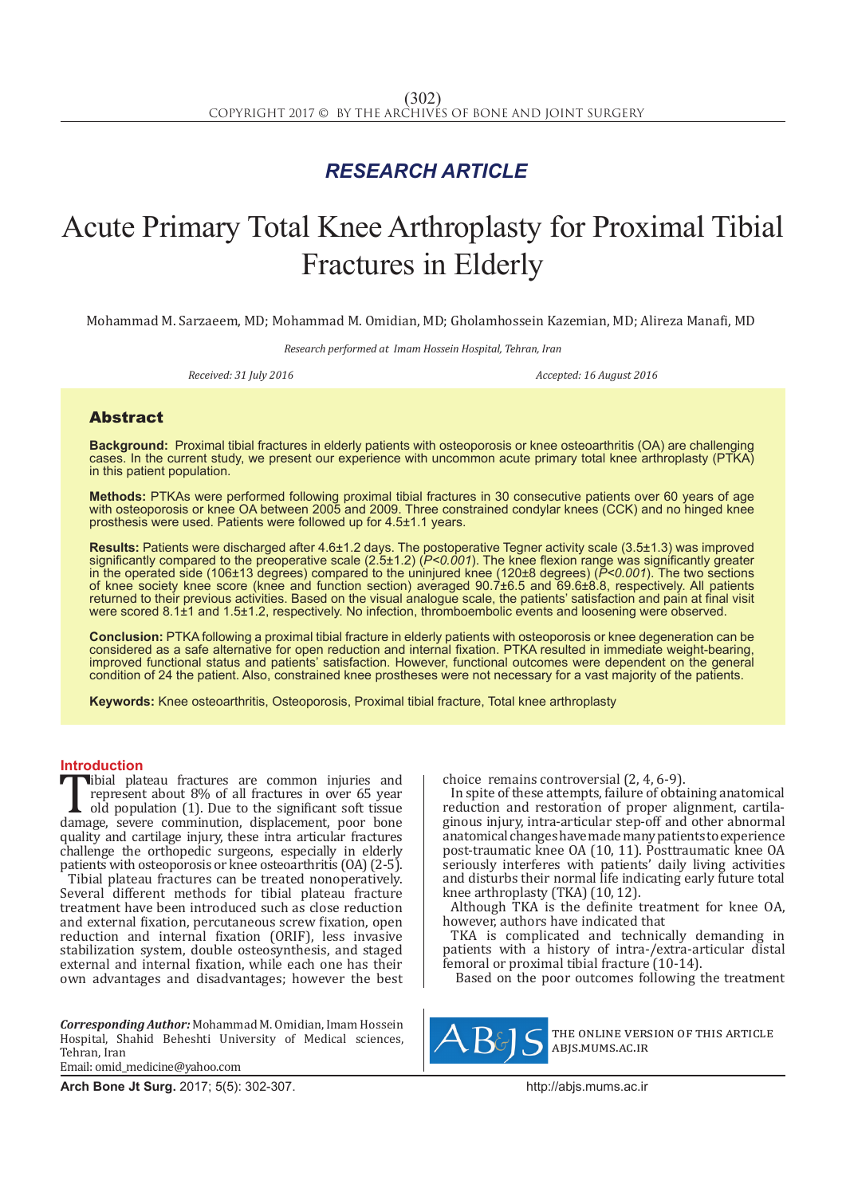## *RESEARCH ARTICLE*

# Acute Primary Total Knee Arthroplasty for Proximal Tibial Fractures in Elderly

Mohammad M. Sarzaeem, MD; Mohammad M. Omidian, MD; Gholamhossein Kazemian, MD; Alireza Manafi, MD

*Research performed at Imam Hossein Hospital, Tehran, Iran*

*Received: 31 July 2016 Accepted: 16 August 2016*

### Abstract

**Background:** Proximal tibial fractures in elderly patients with osteoporosis or knee osteoarthritis (OA) are challenging cases. In the current study, we present our experience with uncommon acute primary total knee arthroplasty (PTKA) in this patient population.

**Methods:** PTKAs were performed following proximal tibial fractures in 30 consecutive patients over 60 years of age with osteoporosis or knee OA between 2005 and 2009. Three constrained condylar knees (CCK) and no hinged knee prosthesis were used. Patients were followed up for 4.5±1.1 years.

**Results:** Patients were discharged after 4.6±1.2 days. The postoperative Tegner activity scale (3.5±1.3) was improved significantly compared to the preoperative scale (2.5±1.2) (*P<0.001*). The knee flexion range was significantly greater in the operated side (106±13 degrees) compared to the uninjured knee (120±8 degrees) (*P<0.001*). The two sections of knee society knee score (knee and function section) averaged 90.7±6.5 and 69.6±8.8, respectively. All patients returned to their previous activities. Based on the visual analogue scale, the patients' satisfaction and pain at final visit were scored 8.1±1 and 1.5±1.2, respectively. No infection, thromboembolic events and loosening were observed.

**Conclusion:** PTKA following a proximal tibial fracture in elderly patients with osteoporosis or knee degeneration can be considered as a safe alternative for open reduction and internal fixation. PTKA resulted in immediate weight-bearing, improved functional status and patients' satisfaction. However, functional outcomes were dependent on the general condition of 24 the patient. Also, constrained knee prostheses were not necessary for a vast majority of the patients.

**Keywords:** Knee osteoarthritis, Osteoporosis, Proximal tibial fracture, Total knee arthroplasty

**Introduction**<br>**T**ibial plateau fractures are common injuries and Tibial plateau fractures are common injuries and<br>
represent about 8% of all fractures in over 65 year<br>
old population (1). Due to the significant soft tissue<br>
damage, severe comminution, displacement, poor bone<br>
quality an represent about 8% of all fractures in over 65 year old population (1). Due to the significant soft tissue quality and cartilage injury, these intra articular fractures challenge the orthopedic surgeons, especially in elderly patients with osteoporosis or knee osteoarthritis (OA) (2-5). Tibial plateau fractures can be treated nonoperatively. Several different methods for tibial plateau fracture treatment have been introduced such as close reduction and external fixation, percutaneous screw fixation, open reduction and internal fixation (ORIF), less invasive stabilization system, double osteosynthesis, and staged external and internal fixation, while each one has their own advantages and disadvantages; however the best

*Corresponding Author:* Mohammad M. Omidian, Imam Hossein Hospital, Shahid Beheshti University of Medical sciences, Tehran, Iran Email: omid\_medicine@yahoo.com

**Arch Bone Jt Surg.** 2017; 5(5): 302-307.http://abjs.mums.ac.ir

choice remains controversial (2, 4, 6-9).

In spite of these attempts, failure of obtaining anatomical reduction and restoration of proper alignment, cartilaginous injury, intra-articular step-off and other abnormal anatomical changes have made many patients to experience post-traumatic knee OA (10, 11). Posttraumatic knee OA seriously interferes with patients' daily living activities and disturbs their normal life indicating early future total knee arthroplasty (TKA) (10, 12).

Although TKA is the definite treatment for knee OA, however, authors have indicated that

TKA is complicated and technically demanding in patients with a history of intra-/extra-articular distal femoral or proximal tibial fracture (10-14).

Based on the poor outcomes following the treatment



the online version of this article abjs.mums.ac.ir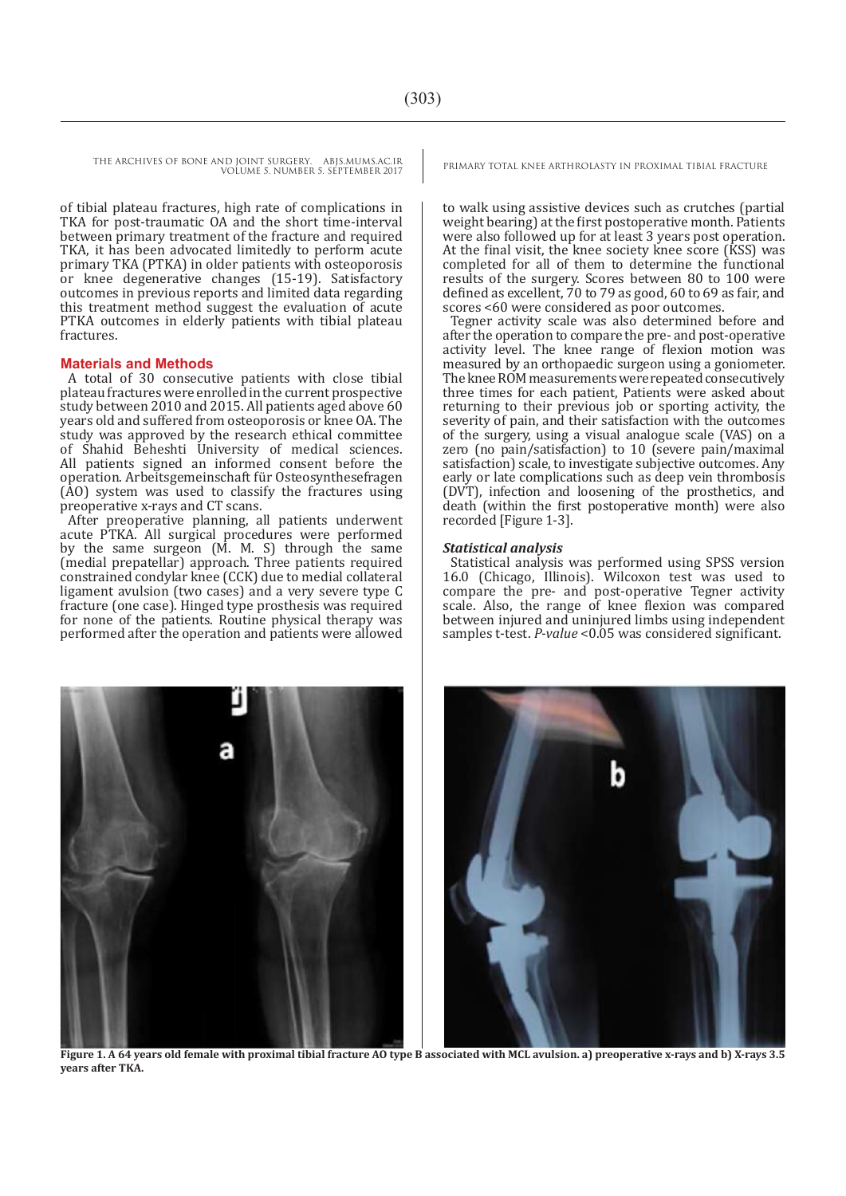THE ARCHIVES OF BONE AND JOINT SURGERY. ABJS.MUMS.AC.IR PRIMARY TOTAL KNEE ARTHROLASTY IN PROXIMAL TIBIAL FRACTURE VOLUME 5. NUMBER 5. SEPTEMBER 2017

of tibial plateau fractures, high rate of complications in TKA for post-traumatic OA and the short time-interval between primary treatment of the fracture and required TKA, it has been advocated limitedly to perform acute primary TKA (PTKA) in older patients with osteoporosis or knee degenerative changes (15-19). Satisfactory outcomes in previous reports and limited data regarding this treatment method suggest the evaluation of acute PTKA outcomes in elderly patients with tibial plateau fractures.

#### **Materials and Methods**

A total of 30 consecutive patients with close tibial plateau fractures were enrolled in the current prospective study between 2010 and 2015. All patients aged above 60 years old and suffered from osteoporosis or knee OA. The study was approved by the research ethical committee of Shahid Beheshti University of medical sciences. All patients signed an informed consent before the operation. Arbeitsgemeinschaft für Osteosynthesefragen  $(AD)$  system was used to classify the fractures using preoperative x-rays and CT scans.

After preoperative planning, all patients underwent acute PTKA. All surgical procedures were performed by the same surgeon (M. M. S) through the same (medial prepatellar) approach. Three patients required constrained condylar knee (CCK) due to medial collateral ligament avulsion (two cases) and a very severe type C fracture (one case). Hinged type prosthesis was required for none of the patients. Routine physical therapy was performed after the operation and patients were allowed

to walk using assistive devices such as crutches (partial weight bearing) at the first postoperative month. Patients were also followed up for at least 3 years post operation. At the final visit, the knee society knee score (KSS) was completed for all of them to determine the functional results of the surgery. Scores between 80 to 100 were defined as excellent, 70 to 79 as good, 60 to 69 as fair, and scores <60 were considered as poor outcomes.

Tegner activity scale was also determined before and after the operation to compare the pre- and post-operative activity level. The knee range of flexion motion was measured by an orthopaedic surgeon using a goniometer. The knee ROM measurements were repeated consecutively three times for each patient, Patients were asked about returning to their previous job or sporting activity, the severity of pain, and their satisfaction with the outcomes of the surgery, using a visual analogue scale (VAS) on a zero (no pain/satisfaction) to 10 (severe pain/maximal satisfaction) scale, to investigate subjective outcomes. Any early or late complications such as deep vein thrombosis (DVT), infection and loosening of the prosthetics, and death (within the first postoperative month) were also recorded [Figure 1-3].

#### *Statistical analysis*

Statistical analysis was performed using SPSS version 16.0 (Chicago, Illinois). Wilcoxon test was used to compare the pre- and post-operative Tegner activity scale. Also, the range of knee flexion was compared between injured and uninjured limbs using independent samples t-test. *P-value* <0.05 was considered significant.



**Figure 1. A 64 years old female with proximal tibial fracture AO type B associated with MCL avulsion. a) preoperative x-rays and b) X-rays 3.5 years after TKA.**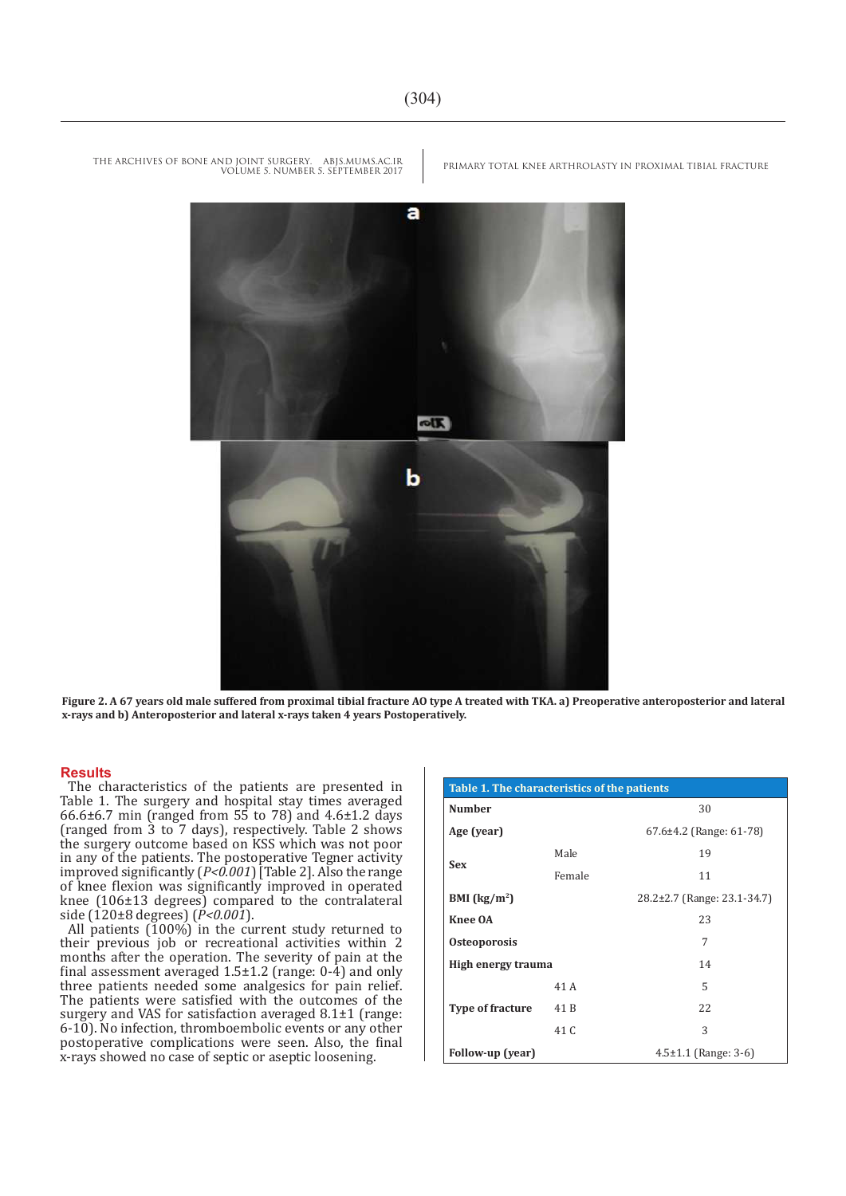PRIMARY TOTAL KNEE ARTHROLASTY IN PROXIMAL TIBIAL FRACTURE

THE ARCHIVES OF BONE AND JOINT SURGERY. ABJS.MUMS.AC.IR VOLUME 5. NUMBER 5. SEPTEMBER 2017



**Figure 2. A 67 years old male suffered from proximal tibial fracture AO type A treated with TKA. a) Preoperative anteroposterior and lateral x-rays and b) Anteroposterior and lateral x-rays taken 4 years Postoperatively.**

#### **Results**

The characteristics of the patients are presented in Table 1. The surgery and hospital stay times averaged 66.6 $\pm$ 6.7 min (ranged from 55 to 78) and 4.6 $\pm$ 1.2 days (ranged from 3 to 7 days), respectively. Table 2 shows the surgery outcome based on KSS which was not poor in any of the patients. The postoperative Tegner activity improved significantly (*P<0.001*) [Table 2]. Also the range of knee flexion was significantly improved in operated knee (106±13 degrees) compared to the contralateral side (120±8 degrees) (*P<0.001*).

All patients  $(100\%)$  in the current study returned to their previous job or recreational activities within 2 months after the operation. The severity of pain at the final assessment averaged  $1.5\pm1.2$  (range: 0-4) and only three patients needed some analgesics for pain relief. The patients were satisfied with the outcomes of the surgery and VAS for satisfaction averaged 8.1±1 (range: 6-10). No infection, thromboembolic events or any other postoperative complications were seen. Also, the final x-rays showed no case of septic or aseptic loosening.

| Table 1. The characteristics of the patients |        |                             |  |  |  |
|----------------------------------------------|--------|-----------------------------|--|--|--|
| <b>Number</b>                                |        | 30                          |  |  |  |
| Age (year)                                   |        | $67.6\pm4.2$ (Range: 61-78) |  |  |  |
| <b>Sex</b>                                   | Male   | 19                          |  |  |  |
|                                              | Female | 11                          |  |  |  |
| BMI $(kg/m2)$                                |        | 28.2±2.7 (Range: 23.1-34.7) |  |  |  |
| Knee OA                                      |        | 23                          |  |  |  |
| <b>Osteoporosis</b>                          |        | 7                           |  |  |  |
| High energy trauma                           |        | 14                          |  |  |  |
| <b>Type of fracture</b>                      | 41 A   | 5                           |  |  |  |
|                                              | 41 B   | 22                          |  |  |  |
|                                              | 41 C   | 3                           |  |  |  |
| Follow-up (year)                             |        | $4.5 \pm 1.1$ (Range: 3-6)  |  |  |  |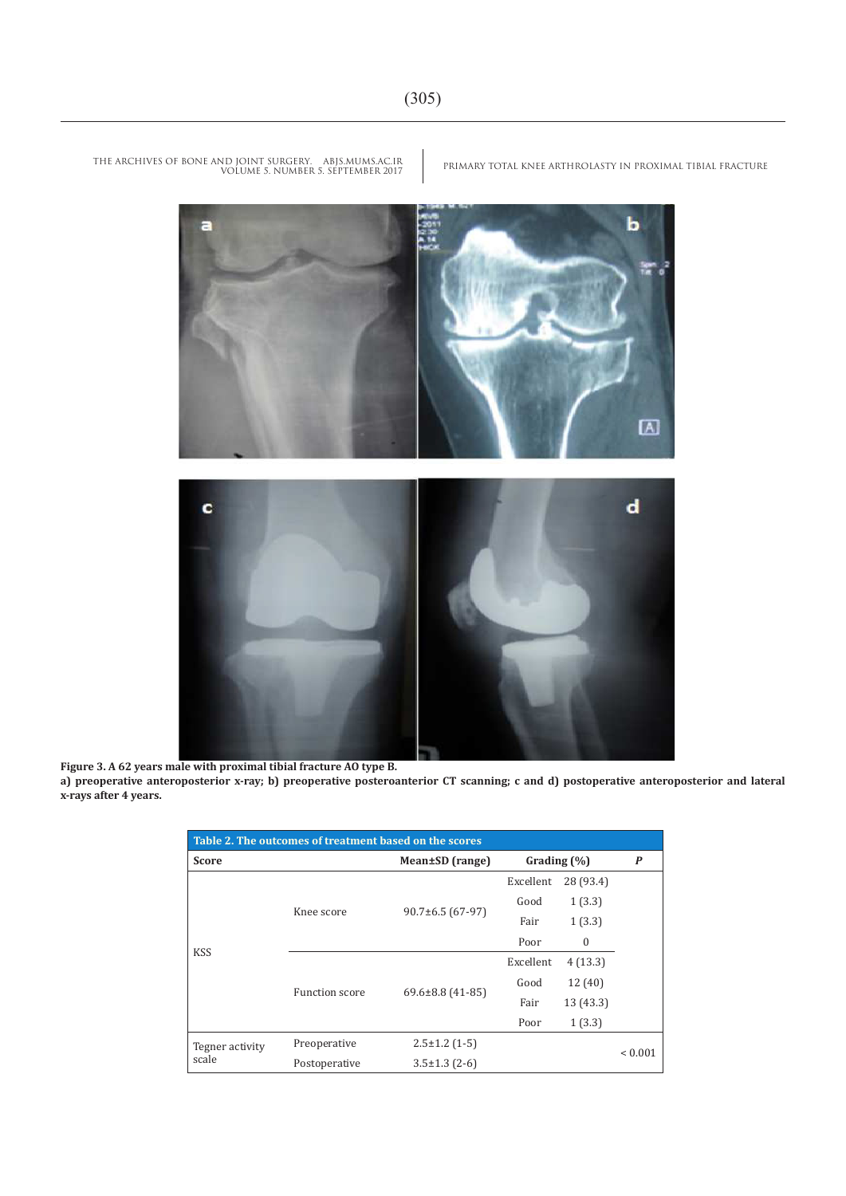

**Figure 3. A 62 years male with proximal tibial fracture AO type B.** 

**a) preoperative anteroposterior x-ray; b) preoperative posteroanterior CT scanning; c and d) postoperative anteroposterior and lateral x-rays after 4 years.**

| Table 2. The outcomes of treatment based on the scores |                       |                      |                 |              |                  |  |  |  |
|--------------------------------------------------------|-----------------------|----------------------|-----------------|--------------|------------------|--|--|--|
| Score                                                  |                       | Mean±SD (range)      | Grading $(\% )$ |              | $\boldsymbol{P}$ |  |  |  |
| <b>KSS</b>                                             | Knee score            | $90.7\pm 6.5(67-97)$ | Excellent       | 28 (93.4)    |                  |  |  |  |
|                                                        |                       |                      | Good            | 1(3.3)       |                  |  |  |  |
|                                                        |                       |                      | Fair            | 1(3.3)       |                  |  |  |  |
|                                                        |                       |                      | Poor            | $\mathbf{0}$ |                  |  |  |  |
|                                                        | <b>Function score</b> | 69.6±8.8 (41-85)     | Excellent       | 4(13.3)      |                  |  |  |  |
|                                                        |                       |                      | Good            | 12 (40)      |                  |  |  |  |
|                                                        |                       |                      | Fair            | 13 (43.3)    |                  |  |  |  |
|                                                        |                       |                      | Poor            | 1(3.3)       |                  |  |  |  |
| Tegner activity<br>scale                               | Preoperative          | $2.5 \pm 1.2$ (1-5)  |                 |              | ${}_{0.001}$     |  |  |  |
|                                                        | Postoperative         | $3.5 \pm 1.3$ (2-6)  |                 |              |                  |  |  |  |

PRIMARY TOTAL KNEE ARTHROLASTY IN PROXIMAL TIBIAL FRACTURE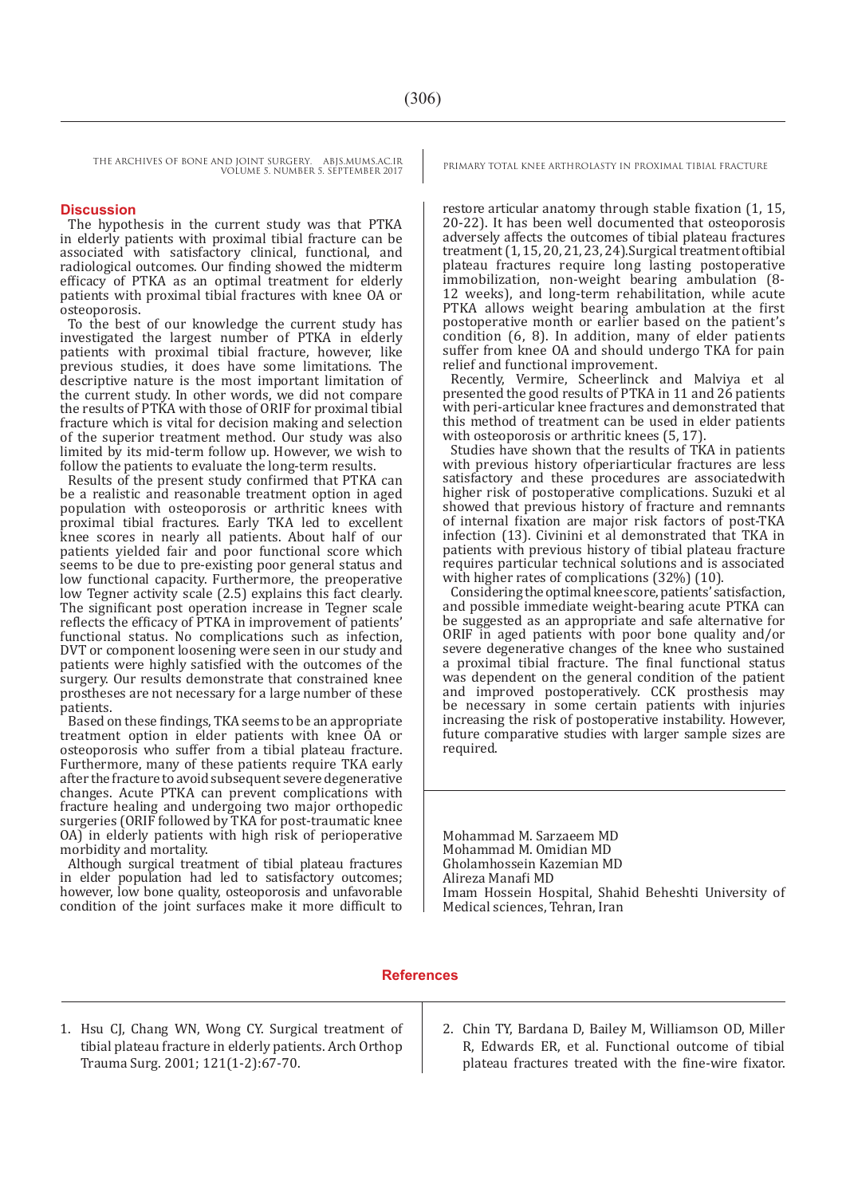THE ARCHIVES OF BONE AND JOINT SURGERY. ABJS.MUMS.AC.IR PRIMARY TOTAL KNEE ARTHROLASTY IN PROXIMAL TIBIAL FRACTURE VOLUME 5. NUMBER 5. SEPTEMBER 2017

#### **Discussion**

The hypothesis in the current study was that PTKA in elderly patients with proximal tibial fracture can be associated with satisfactory clinical, functional, and radiological outcomes. Our finding showed the midterm efficacy of PTKA as an optimal treatment for elderly patients with proximal tibial fractures with knee OA or osteoporosis.

To the best of our knowledge the current study has investigated the largest number of PTKA in elderly patients with proximal tibial fracture, however, like previous studies, it does have some limitations. The descriptive nature is the most important limitation of the current study. In other words, we did not compare the results of PTKA with those of ORIF for proximal tibial fracture which is vital for decision making and selection of the superior treatment method. Our study was also limited by its mid-term follow up. However, we wish to follow the patients to evaluate the long-term results.

Results of the present study confirmed that PTKA can be a realistic and reasonable treatment option in aged population with osteoporosis or arthritic knees with proximal tibial fractures. Early TKA led to excellent knee scores in nearly all patients. About half of our patients yielded fair and poor functional score which seems to be due to pre-existing poor general status and low functional capacity. Furthermore, the preoperative low Tegner activity scale (2.5) explains this fact clearly. The significant post operation increase in Tegner scale reflects the efficacy of PTKA in improvement of patients' functional status. No complications such as infection, DVT or component loosening were seen in our study and patients were highly satisfied with the outcomes of the surgery. Our results demonstrate that constrained knee prostheses are not necessary for a large number of these patients.

Based on these findings, TKA seems to be an appropriate treatment option in elder patients with knee OA or osteoporosis who suffer from a tibial plateau fracture. Furthermore, many of these patients require TKA early after the fracture to avoid subsequent severe degenerative changes. Acute PTKA can prevent complications with fracture healing and undergoing two major orthopedic surgeries (ORIF followed by TKA for post-traumatic knee OA) in elderly patients with high risk of perioperative morbidity and mortality.

Although surgical treatment of tibial plateau fractures in elder population had led to satisfactory outcomes; however, low bone quality, osteoporosis and unfavorable condition of the joint surfaces make it more difficult to

restore articular anatomy through stable fixation (1, 15, 20-22). It has been well documented that osteoporosis adversely affects the outcomes of tibial plateau fractures treatment (1, 15, 20, 21, 23, 24).Surgical treatment oftibial plateau fractures require long lasting postoperative immobilization, non-weight bearing ambulation (8- 12 weeks), and long-term rehabilitation, while acute PTKA allows weight bearing ambulation at the first postoperative month or earlier based on the patient's condition (6, 8). In addition, many of elder patients suffer from knee OA and should undergo TKA for pain relief and functional improvement.

Recently, Vermire, Scheerlinck and Malviya et al presented the good results of PTKA in 11 and 26 patients with peri-articular knee fractures and demonstrated that this method of treatment can be used in elder patients with osteoporosis or arthritic knees (5, 17).

Studies have shown that the results of TKA in patients with previous history ofperiarticular fractures are less satisfactory and these procedures are associatedwith higher risk of postoperative complications. Suzuki et al showed that previous history of fracture and remnants of internal fixation are major risk factors of post-TKA infection (13). Civinini et al demonstrated that TKA in patients with previous history of tibial plateau fracture requires particular technical solutions and is associated with higher rates of complications (32%) (10).

Considering the optimal knee score, patients' satisfaction, and possible immediate weight-bearing acute PTKA can be suggested as an appropriate and safe alternative for ORIF in aged patients with poor bone quality and/or severe degenerative changes of the knee who sustained a proximal tibial fracture. The final functional status was dependent on the general condition of the patient and improved postoperatively. CCK prosthesis may be necessary in some certain patients with injuries increasing the risk of postoperative instability. However, future comparative studies with larger sample sizes are required.

Mohammad M. Sarzaeem MD Mohammad M. Omidian MD Gholamhossein Kazemian MD Alireza Manafi MD Imam Hossein Hospital, Shahid Beheshti University of Medical sciences, Tehran, Iran

#### **References**

- 1. Hsu CJ, Chang WN, Wong CY. Surgical treatment of tibial plateau fracture in elderly patients. Arch Orthop Trauma Surg. 2001; 121(1-2):67-70.
- 2. Chin TY, Bardana D, Bailey M, Williamson OD, Miller R, Edwards ER, et al. Functional outcome of tibial plateau fractures treated with the fine-wire fixator.